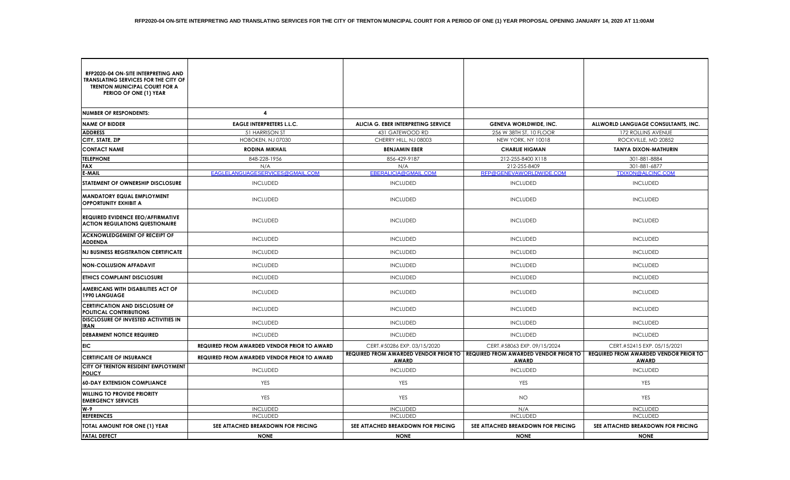| RFP2020-04 ON-SITE INTERPRETING AND<br><b>TRANSLATING SERVICES FOR THE CITY OF</b><br><b>TRENTON MUNICIPAL COURT FOR A</b><br>PERIOD OF ONE (1) YEAR |                                                    |                                     |                                                                                               |                                                              |
|------------------------------------------------------------------------------------------------------------------------------------------------------|----------------------------------------------------|-------------------------------------|-----------------------------------------------------------------------------------------------|--------------------------------------------------------------|
| <b>NUMBER OF RESPONDENTS:</b>                                                                                                                        | 4                                                  |                                     |                                                                                               |                                                              |
| <b>NAME OF BIDDER</b>                                                                                                                                | <b>EAGLE INTERPRETERS L.L.C.</b>                   | ALICIA G. EBER INTERPRETING SERVICE | <b>GENEVA WORLDWIDE, INC.</b>                                                                 | ALLWORLD LANGUAGE CONSULTANTS, INC.                          |
| <b>ADDRESS</b>                                                                                                                                       | 51 HARRISON ST                                     | 431 GATEWOOD RD                     | 256 W 38TH ST, 10 FLOOR                                                                       | 172 ROLLINS AVENUE                                           |
| CITY, STATE, ZIP                                                                                                                                     | HOBOKEN, NJ 07030                                  | CHERRY HILL, NJ 08003               | NEW YORK, NY 10018                                                                            | ROCKVILLE, MD 20852                                          |
| <b>CONTACT NAME</b>                                                                                                                                  | <b>RODINA MIKHAIL</b>                              | <b>BENJAMIN EBER</b>                | <b>CHARLIE HIGMAN</b>                                                                         | <b>TANYA DIXON-MATHURIN</b>                                  |
| <b>TELEPHONE</b>                                                                                                                                     | 848-228-1956                                       | 856-429-9187                        | 212-255-8400 X118                                                                             | 301-881-8884                                                 |
| FAX                                                                                                                                                  | N/A                                                | N/A                                 | 212-255-8409                                                                                  | 301-881-6877                                                 |
| E-MAIL                                                                                                                                               | EAGLELANGUAGESERVICES@GMAIL.COM                    | EBERALICIA@GMAIL.COM                | RFP@GENEVAWORLDWIDE.COM                                                                       | TDIXON@ALCINC.COM                                            |
| STATEMENT OF OWNERSHIP DISCLOSURE                                                                                                                    | <b>INCLUDED</b>                                    | <b>INCLUDED</b>                     | <b>INCLUDED</b>                                                                               | <b>INCLUDED</b>                                              |
| <b>MANDATORY EQUAL EMPLOYMENT</b><br><b>OPPORTUNITY EXHIBIT A</b>                                                                                    | <b>INCLUDED</b>                                    | <b>INCLUDED</b>                     | <b>INCLUDED</b>                                                                               | <b>INCLUDED</b>                                              |
| <b>REQUIRED EVIDENCE EEO/AFFIRMATIVE</b><br><b>ACTION REGULATIONS QUESTIONAIRE</b>                                                                   | <b>INCLUDED</b>                                    | <b>INCLUDED</b>                     | <b>INCLUDED</b>                                                                               | <b>INCLUDED</b>                                              |
| <b>ACKNOWLEDGEMENT OF RECEIPT OF</b><br><b>ADDENDA</b>                                                                                               | <b>INCLUDED</b>                                    | <b>INCLUDED</b>                     | <b>INCLUDED</b>                                                                               | <b>INCLUDED</b>                                              |
| <b>NJ BUSINESS REGISTRATION CERTIFICATE</b>                                                                                                          | <b>INCLUDED</b>                                    | <b>INCLUDED</b>                     | <b>INCLUDED</b>                                                                               | <b>INCLUDED</b>                                              |
| <b>NON-COLLUSION AFFADAVIT</b>                                                                                                                       | <b>INCLUDED</b>                                    | <b>INCLUDED</b>                     | <b>INCLUDED</b>                                                                               | <b>INCLUDED</b>                                              |
| <b>ETHICS COMPLAINT DISCLOSURE</b>                                                                                                                   | <b>INCLUDED</b>                                    | <b>INCLUDED</b>                     | <b>INCLUDED</b>                                                                               | <b>INCLUDED</b>                                              |
| AMERICANS WITH DISABILITIES ACT OF<br><b>1990 LANGUAGE</b>                                                                                           | <b>INCLUDED</b>                                    | <b>INCLUDED</b>                     | <b>INCLUDED</b>                                                                               | <b>INCLUDED</b>                                              |
| <b>CERTIFICATION AND DISCLOSURE OF</b><br><b>POLITICAL CONTRIBUTIONS</b>                                                                             | <b>INCLUDED</b>                                    | <b>INCLUDED</b>                     | <b>INCLUDED</b>                                                                               | <b>INCLUDED</b>                                              |
| DISCLOSURE OF INVESTED ACTIVITIES IN<br>IRAN                                                                                                         | <b>INCLUDED</b>                                    | <b>INCLUDED</b>                     | <b>INCLUDED</b>                                                                               | <b>INCLUDED</b>                                              |
| <b>DEBARMENT NOTICE REQUIRED</b>                                                                                                                     | <b>INCLUDED</b>                                    | <b>INCLUDED</b>                     | <b>INCLUDED</b>                                                                               | <b>INCLUDED</b>                                              |
| EIC.                                                                                                                                                 | <b>REQUIRED FROM AWARDED VENDOR PRIOR TO AWARD</b> | CERT.#50286 EXP. 03/15/2020         | CERT.#58063 EXP. 09/15/2024                                                                   | CERT.#52415 EXP. 05/15/2021                                  |
| <b>CERTIFICATE OF INSURANCE</b>                                                                                                                      | <b>REQUIRED FROM AWARDED VENDOR PRIOR TO AWARD</b> | <b>AWARD</b>                        | REQUIRED FROM AWARDED VENDOR PRIOR TO   REQUIRED FROM AWARDED VENDOR PRIOR TO<br><b>AWARD</b> | <b>REQUIRED FROM AWARDED VENDOR PRIOR TO</b><br><b>AWARD</b> |
| CITY OF TRENTON RESIDENT EMPLOYMENT<br>POLICY                                                                                                        | <b>INCLUDED</b>                                    | <b>INCLUDED</b>                     | <b>INCLUDED</b>                                                                               | <b>INCLUDED</b>                                              |
| <b>60-DAY EXTENSION COMPLIANCE</b>                                                                                                                   | <b>YES</b>                                         | YES                                 | <b>YES</b>                                                                                    | <b>YES</b>                                                   |
| <b>WILLING TO PROVIDE PRIORITY</b><br><b>EMERGENCY SERVICES</b>                                                                                      | YES                                                | YES                                 | <b>NO</b>                                                                                     | YES                                                          |
| W-9                                                                                                                                                  | <b>INCLUDED</b>                                    | <b>INCLUDED</b>                     | N/A                                                                                           | <b>INCLUDED</b>                                              |
| <b>REFERENCES</b>                                                                                                                                    | <b>INCLUDED</b>                                    | <b>INCLUDED</b>                     | <b>INCLUDED</b>                                                                               | <b>INCLUDED</b>                                              |
| TOTAL AMOUNT FOR ONE (1) YEAR                                                                                                                        | SEE ATTACHED BREAKDOWN FOR PRICING                 | SEE ATTACHED BREAKDOWN FOR PRICING  | SEE ATTACHED BREAKDOWN FOR PRICING                                                            | SEE ATTACHED BREAKDOWN FOR PRICING                           |
| <b>FATAL DEFECT</b>                                                                                                                                  | <b>NONE</b>                                        | <b>NONE</b>                         | <b>NONE</b>                                                                                   | <b>NONE</b>                                                  |

┱

⊤

- 17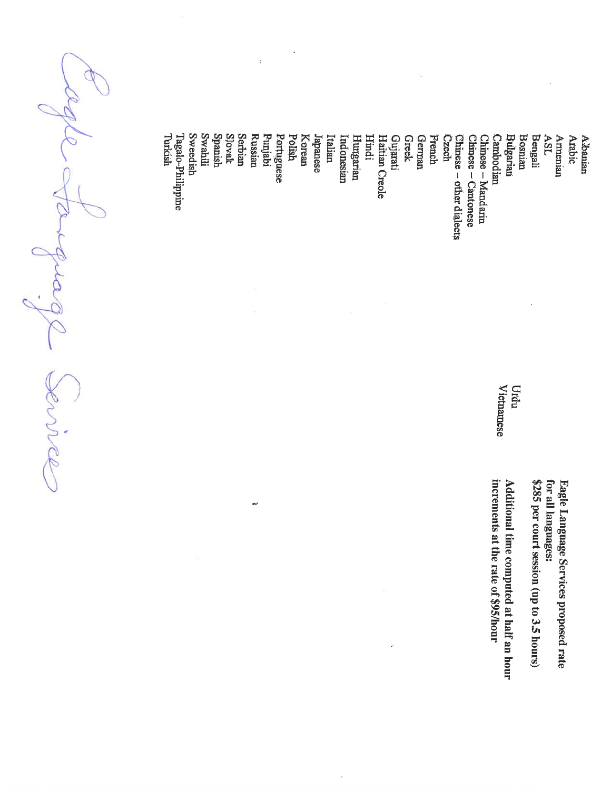í, **Swahill** Spanish Slovak Serbian **Russian** Korean **German** Punjabi Polish **Greek Bengali** A. Sanian<br>Arabic Hindi Czech **Bosnian** Turkish Tagalo-Philippine Sweedish Italian French **ASL** Portuguese Japanese Hungarian Haitian Creole Gujarati Chinese – Mandarin<br>Chinese – Cantonese Cambodian Bulgarian Armenian Indonesian Chinese - other dialects **Vietnamese** Urdu increments at the rate of \$95/hour Additional time computed at half an hour \$285 per court session (up to 3.5 hours) Eagle Language Services proposed rate for all languages:

m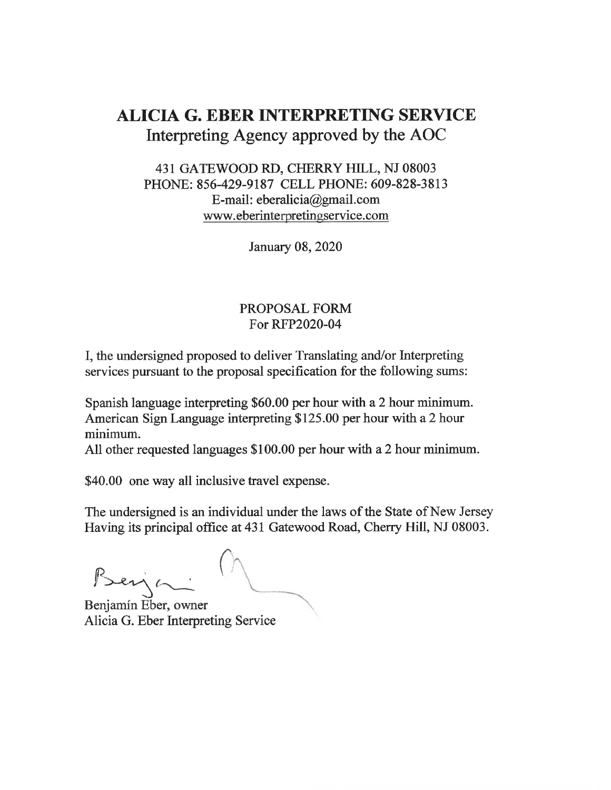## **ALICIA G. EBER INTERPRETING SERVICE** Interpreting Agency approved by the AOC

#### 431 GATEWOOD RD, CHERRY HILL, NJ 08003 PHONE: 856-429-9187 CELL PHONE: 609-828-3813 E-mail: eberalicia@gmail.com www.eberinterpretingservice.com

January 08, 2020

#### PROPOSAL FORM For RFP2020-04

I, the undersigned proposed to deliver Translating and/or Interpreting services pursuant to the proposal specification for the following sums:

Spanish language interpreting \$60.00 per hour with a 2 hour minimum. American Sign Language interpreting \$125.00 per hour with a 2 hour minimum.

All other requested languages \$100.00 per hour with a 2 hour minimum.

\$40.00 one way all inclusive travel expense.

The undersigned is an individual under the laws of the State of New Jersey Having its principal office at 431 Gatewood Road, Cherry Hill, NJ 08003.

Beija

Benjamín Eber, owner Alicia G. Eber Interpreting Service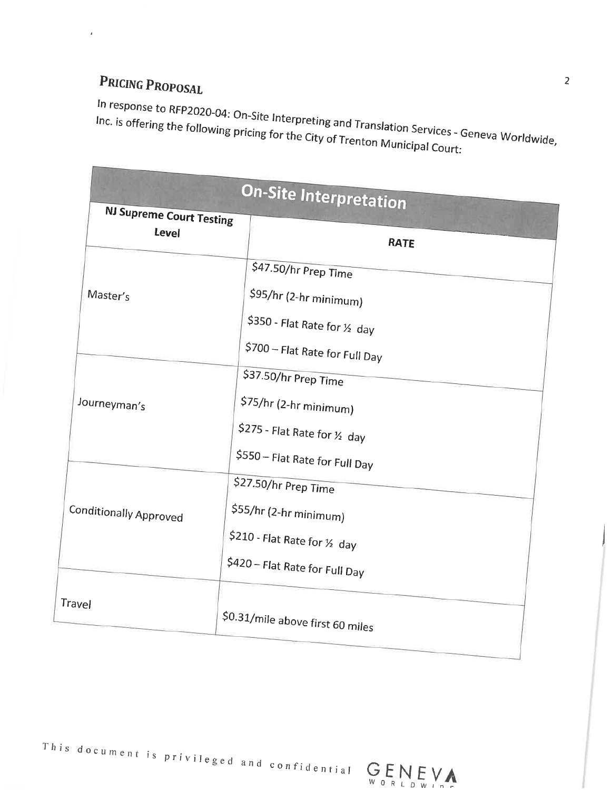# PRICING PROPOSAL

 $\pmb{\iota}$ 

**Contract Contract Contract Contract Contract Contract Contract Contract Contract Contract Contract Contract Contract Contract Contract Contract Contract Contract Contract Contract Contract Contract Contract Contract Contr** 

In response to RFP2020-04: On-Site Interpreting and Translation Services - Geneva Worldwide, Inc. is offering the following pricing for the City of Trenton Municipal Court:

|                                          | <b>On-Site Interpretation</b>                                                                                               |
|------------------------------------------|-----------------------------------------------------------------------------------------------------------------------------|
| <b>NJ Supreme Court Testing</b><br>Level | <b>RATE</b>                                                                                                                 |
| Master's                                 | \$47.50/hr Prep Time<br>\$95/hr (2-hr minimum)<br>\$350 - Flat Rate for $\frac{1}{2}$ day<br>\$700 - Flat Rate for Full Day |
| Journeyman's                             | \$37.50/hr Prep Time<br>\$75/hr (2-hr minimum)<br>\$275 - Flat Rate for $\frac{1}{2}$ day<br>\$550 - Flat Rate for Full Day |
| Conditionally Approved                   | \$27.50/hr Prep Time<br>\$55/hr (2-hr minimum)<br>\$210 - Flat Rate for 1/2 day<br>\$420 - Flat Rate for Full Day           |
| Travel                                   | \$0.31/mile above first 60 miles                                                                                            |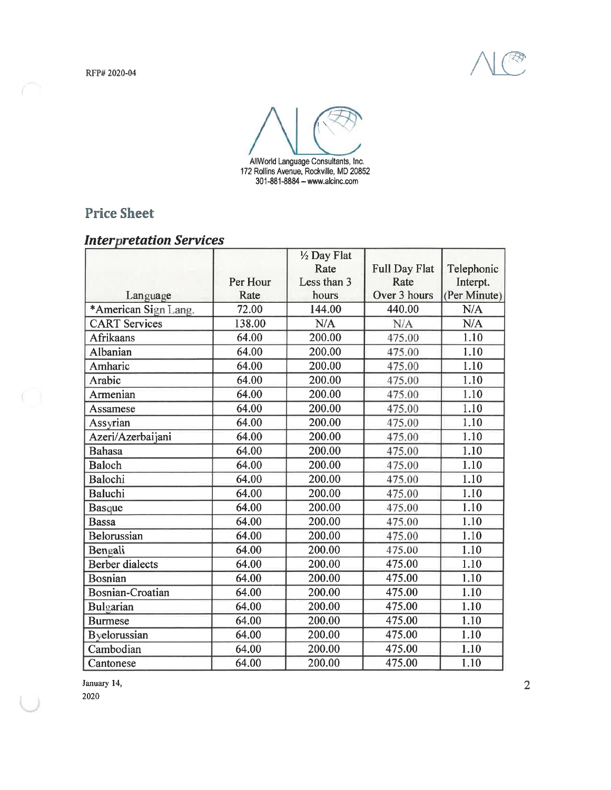



### **Price Sheet**

#### **Interpretation Services**

|                         |          | 1/2 Day Flat |                      |              |
|-------------------------|----------|--------------|----------------------|--------------|
|                         |          | Rate         | <b>Full Day Flat</b> | Telephonic   |
|                         | Per Hour | Less than 3  | Rate                 | Interpt.     |
| Language                | Rate     | hours        | Over 3 hours         | (Per Minute) |
| *American Sign Lang.    | 72.00    | 144.00       | 440.00               | N/A          |
| <b>CART</b> Services    | 138.00   | N/A          | N/A                  | N/A          |
| <b>Afrikaans</b>        | 64.00    | 200.00       | 475.00               | 1.10         |
| Albanian                | 64.00    | 200.00       | 475.00               | 1.10         |
| Amharic                 | 64.00    | 200.00       | 475.00               | 1.10         |
| Arabic                  | 64.00    | 200.00       | 475.00               | 1.10         |
| Armenian                | 64.00    | 200.00       | 475.00               | 1.10         |
| Assamese                | 64.00    | 200.00       | 475.00               | 1.10         |
| Assyrian                | 64.00    | 200.00       | 475.00               | 1.10         |
| Azeri/Azerbaijani       | 64.00    | 200.00       | 475.00               | 1.10         |
| <b>Bahasa</b>           | 64.00    | 200.00       | 475.00               | 1.10         |
| <b>Baloch</b>           | 64.00    | 200.00       | 475.00               | 1.10         |
| Balochi                 | 64.00    | 200.00       | 475.00               | 1.10         |
| <b>Baluchi</b>          | 64.00    | 200.00       | 475.00               | 1.10         |
| <b>Basque</b>           | 64.00    | 200.00       | 475.00               | 1.10         |
| <b>Bassa</b>            | 64.00    | 200.00       | 475.00               | 1.10         |
| Belorussian             | 64.00    | 200.00       | 475.00               | 1.10         |
| Bengali                 | 64.00    | 200.00       | 475.00               | 1.10         |
| <b>Berber</b> dialects  | 64.00    | 200.00       | 475.00               | 1.10         |
| <b>Bosnian</b>          | 64.00    | 200.00       | 475.00               | 1.10         |
| <b>Bosnian-Croatian</b> | 64.00    | 200.00       | 475.00               | 1.10         |
| Bulgarian               | 64.00    | 200.00       | 475.00               | 1.10         |
| <b>Burmese</b>          | 64.00    | 200.00       | 475.00               | 1.10         |
| Byelorussian            | 64.00    | 200.00       | 475.00               | 1.10         |
| Cambodian               | 64.00    | 200.00       | 475.00               | 1.10         |
| Cantonese               | 64.00    | 200.00       | 475.00               | 1.10         |

January 14,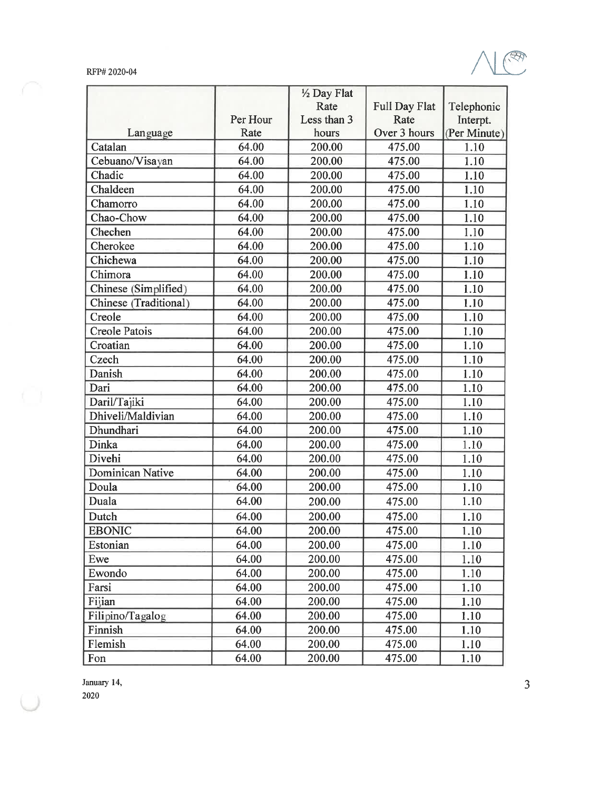

|                       |          | 1/2 Day Flat |               |              |
|-----------------------|----------|--------------|---------------|--------------|
|                       |          | Rate         | Full Day Flat | Telephonic   |
|                       | Per Hour | Less than 3  | Rate          | Interpt.     |
| Language              | Rate     | hours        | Over 3 hours  | (Per Minute) |
| Catalan               | 64.00    | 200.00       | 475.00        | 1.10         |
| Cebuano/Visayan       | 64.00    | 200.00       | 475.00        | 1.10         |
| Chadic                | 64.00    | 200.00       | 475.00        | 1.10         |
| Chaldeen              | 64.00    | 200.00       | 475.00        | 1.10         |
| Chamorro              | 64.00    | 200.00       | 475.00        | 1.10         |
| Chao-Chow             | 64.00    | 200.00       | 475.00        | 1.10         |
| Chechen               | 64.00    | 200.00       | 475.00        | 1.10         |
| Cherokee              | 64.00    | 200.00       | 475.00        | 1.10         |
| Chichewa              | 64.00    | 200.00       | 475.00        | 1.10         |
| Chimora               | 64.00    | 200.00       | 475.00        | 1.10         |
| Chinese (Simplified)  | 64.00    | 200.00       | 475.00        | 1.10         |
| Chinese (Traditional) | 64.00    | 200.00       | 475.00        | 1.10         |
| Creole                | 64.00    | 200.00       | 475.00        | 1.10         |
| <b>Creole Patois</b>  | 64.00    | 200.00       | 475.00        | 1.10         |
| Croatian              | 64.00    | 200.00       | 475.00        | 1.10         |
| Czech                 | 64.00    | 200.00       | 475.00        | 1.10         |
| Danish                | 64.00    | 200.00       | 475.00        | 1.10         |
| Dari                  | 64.00    | 200.00       | 475.00        | 1.10         |
| Daril/Tajiki          | 64.00    | 200.00       | 475.00        | 1.10         |
| Dhiveli/Maldivian     | 64.00    | 200.00       | 475.00        | 1.10         |
| Dhundhari             | 64.00    | 200.00       | 475.00        | 1.10         |
| <b>Dinka</b>          | 64.00    | 200.00       | 475.00        | 1.10         |
| Divehi                | 64.00    | 200.00       | 475.00        | 1.10         |
| Dominican Native      | 64.00    | 200.00       | 475.00        | 1.10         |
| Doula                 | 64.00    | 200.00       | 475.00        | 1.10         |
| Duala                 | 64.00    | 200.00       | 475.00        | 1.10         |
| Dutch                 | 64.00    | 200.00       | 475.00        | 1.10         |
| <b>EBONIC</b>         | 64.00    | 200.00       | 475.00        | 1.10         |
| Estonian              | 64.00    | 200.00       | 475.00        | 1.10         |
| Ewe                   | 64.00    | 200.00       | 475.00        | 1.10         |
| Ewondo                | 64.00    | 200.00       | 475.00        | 1.10         |
| Farsi                 | 64.00    | 200.00       | 475.00        | 1.10         |
| Fijian                | 64.00    | 200.00       | 475.00        | 1.10         |
| Filipino/Tagalog      | 64.00    | 200.00       | 475.00        | 1.10         |
| Finnish               | 64.00    | 200.00       | 475.00        | 1.10         |
| Flemish               | 64.00    | 200.00       | 475.00        | 1.10         |
| Fon                   | 64.00    | 200.00       | 475.00        | 1.10         |

January 14,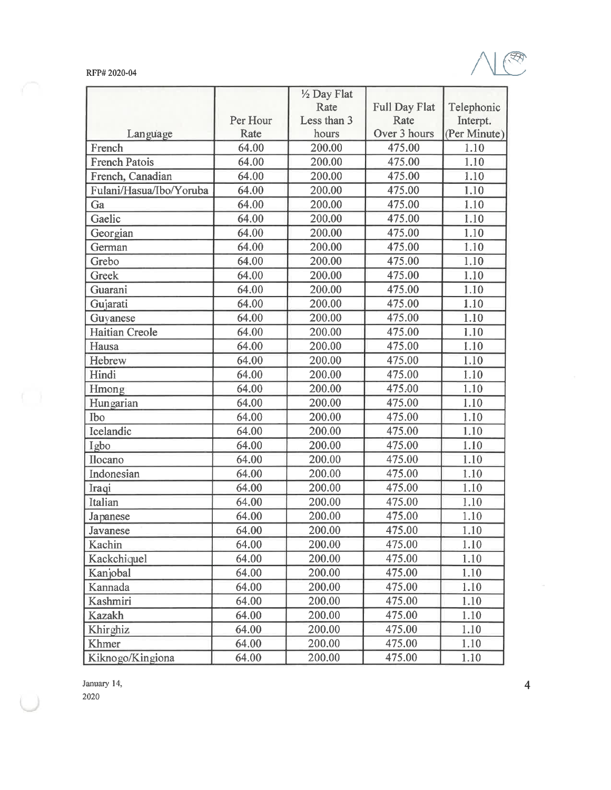

|                         |          | 1/2 Day Flat |                      |              |
|-------------------------|----------|--------------|----------------------|--------------|
|                         |          | Rate         | <b>Full Day Flat</b> | Telephonic   |
|                         | Per Hour | Less than 3  | Rate                 | Interpt.     |
| Language                | Rate     | hours        | Over 3 hours         | (Per Minute) |
| French                  | 64.00    | 200.00       | 475.00               | 1.10         |
| <b>French Patois</b>    | 64.00    | 200.00       | 475.00               | 1.10         |
| French, Canadian        | 64.00    | 200.00       | 475.00               | 1.10         |
| Fulani/Hasua/Ibo/Yoruba | 64.00    | 200.00       | 475.00               | 1.10         |
| Ga                      | 64.00    | 200.00       | 475.00               | 1.10         |
| Gaelic                  | 64.00    | 200.00       | 475.00               | 1.10         |
| Georgian                | 64.00    | 200.00       | 475.00               | 1.10         |
| German                  | 64.00    | 200.00       | 475.00               | 1.10         |
| Grebo                   | 64.00    | 200.00       | 475.00               | 1.10         |
| Greek                   | 64.00    | 200.00       | 475.00               | 1.10         |
| Guarani                 | 64.00    | 200.00       | 475.00               | 1.10         |
| Gujarati                | 64.00    | 200.00       | 475.00               | 1.10         |
| Guyanese                | 64.00    | 200.00       | 475.00               | 1.10         |
| <b>Haitian Creole</b>   | 64.00    | 200.00       | 475.00               | 1.10         |
| Hausa                   | 64.00    | 200.00       | 475.00               | 1.10         |
| Hebrew                  | 64.00    | 200.00       | 475.00               | 1.10         |
| Hindi                   | 64.00    | 200.00       | 475.00               | 1.10         |
| Hmong                   | 64.00    | 200.00       | 475.00               | 1.10         |
| Hungarian               | 64.00    | 200.00       | 475.00               | 1.10         |
| Ibo                     | 64.00    | 200.00       | 475.00               | 1.10         |
| Icelandic               | 64.00    | 200.00       | 475.00               | 1.10         |
| Igbo                    | 64.00    | 200.00       | 475.00               | 1.10         |
| Ilocano                 | 64.00    | 200.00       | 475.00               | 1.10         |
| Indonesian              | 64.00    | 200.00       | 475.00               | 1.10         |
| Iraqi                   | 64.00    | 200.00       | 475.00               | 1.10         |
| Italian                 | 64.00    | 200.00       | 475.00               | 1.10         |
| Japanese                | 64.00    | 200.00       | 475.00               | 1.10         |
| Javanese                | 64.00    | 200.00       | 475.00               | 1.10         |
| Kachin                  | 64.00    | 200.00       | 475.00               | 1.10         |
| Kackchiquel             | 64.00    | 200.00       | 475.00               | 1.10         |
| Kanjobal                | 64.00    | 200.00       | 475.00               | 1.10         |
| Kannada                 | 64.00    | 200.00       | 475.00               | 1.10         |
| Kashmiri                | 64.00    | 200.00       | 475.00               | 1.10         |
| <b>Kazakh</b>           | 64.00    | 200.00       | 475.00               | 1.10         |
| Khirghiz                | 64.00    | 200.00       | 475.00               | 1.10         |
| Khmer                   | 64.00    | 200.00       | 475.00               | 1.10         |
| Kiknogo/Kingiona        | 64.00    | 200.00       | 475.00               | 1.10         |

January 14,  $2020\,$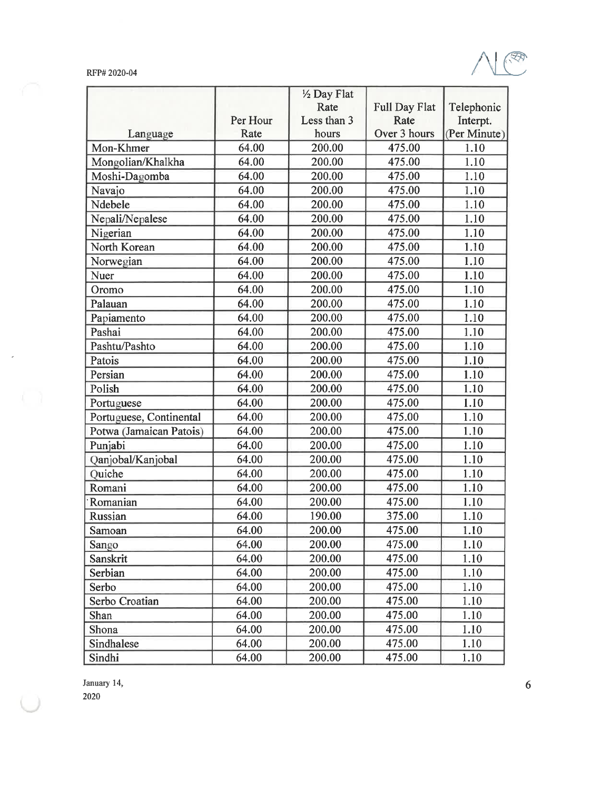

|                         |          | 1/2 Day Flat |                      |              |
|-------------------------|----------|--------------|----------------------|--------------|
|                         |          | Rate         | <b>Full Day Flat</b> | Telephonic   |
|                         | Per Hour | Less than 3  | Rate                 | Interpt.     |
| Language                | Rate     | hours        | Over 3 hours         | (Per Minute) |
| Mon-Khmer               | 64.00    | 200.00       | 475.00               | 1.10         |
| Mongolian/Khalkha       | 64.00    | 200.00       | 475.00               | 1.10         |
| Moshi-Dagomba           | 64.00    | 200.00       | 475.00               | 1.10         |
| Navajo                  | 64.00    | 200.00       | 475.00               | 1.10         |
| Ndebele                 | 64.00    | 200.00       | 475.00               | 1.10         |
| Nepali/Nepalese         | 64.00    | 200.00       | 475.00               | 1.10         |
| Nigerian                | 64.00    | 200.00       | 475.00               | 1.10         |
| North Korean            | 64.00    | 200.00       | 475.00               | 1.10         |
| Norwegian               | 64.00    | 200.00       | 475.00               | 1.10         |
| Nuer                    | 64.00    | 200.00       | 475.00               | 1.10         |
| Oromo                   | 64.00    | 200.00       | 475.00               | 1.10         |
| Palauan                 | 64.00    | 200.00       | 475.00               | 1.10         |
| Papiamento              | 64.00    | 200.00       | 475.00               | 1.10         |
| Pashai                  | 64.00    | 200.00       | 475.00               | 1.10         |
| Pashtu/Pashto           | 64.00    | 200.00       | 475.00               | 1.10         |
| Patois                  | 64.00    | 200.00       | 475.00               | 1.10         |
| Persian                 | 64.00    | 200.00       | 475.00               | 1.10         |
| Polish                  | 64.00    | 200.00       | 475.00               | 1.10         |
| Portuguese              | 64.00    | 200.00       | 475.00               | 1.10         |
| Portuguese, Continental | 64.00    | 200.00       | 475.00               | 1.10         |
| Potwa (Jamaican Patois) | 64.00    | 200.00       | 475.00               | 1.10         |
| Punjabi                 | 64.00    | 200.00       | 475.00               | 1.10         |
| Qanjobal/Kanjobal       | 64.00    | 200.00       | 475.00               | 1.10         |
| Quiche                  | 64.00    | 200.00       | 475.00               | 1.10         |
| Romani                  | 64.00    | 200.00       | 475.00               | 1.10         |
| Romanian                | 64.00    | 200.00       | 475.00               | 1.10         |
| Russian                 | 64.00    | 190.00       | 375.00               | 1.10         |
| Samoan                  | 64.00    | 200.00       | 475.00               | 1.10         |
| Sango                   | 64.00    | 200.00       | 475.00               | 1.10         |
| Sanskrit                | 64.00    | 200.00       | 475.00               | 1.10         |
| Serbian                 | 64.00    | 200.00       | 475.00               | 1.10         |
| Serbo                   | 64.00    | 200.00       | 475.00               | 1.10         |
| Serbo Croatian          | 64.00    | 200.00       | 475.00               | 1.10         |
| Shan                    | 64.00    | 200.00       | 475.00               | 1.10         |
| Shona                   | 64.00    | 200.00       | 475.00               | 1.10         |
| Sindhalese              | 64.00    | 200.00       | 475.00               | 1.10         |
| Sindhi                  | 64.00    | 200.00       | 475.00               | 1.10         |

January 14,

 ${\bf 2020}$ 

 $\tilde{\boldsymbol{\epsilon}}$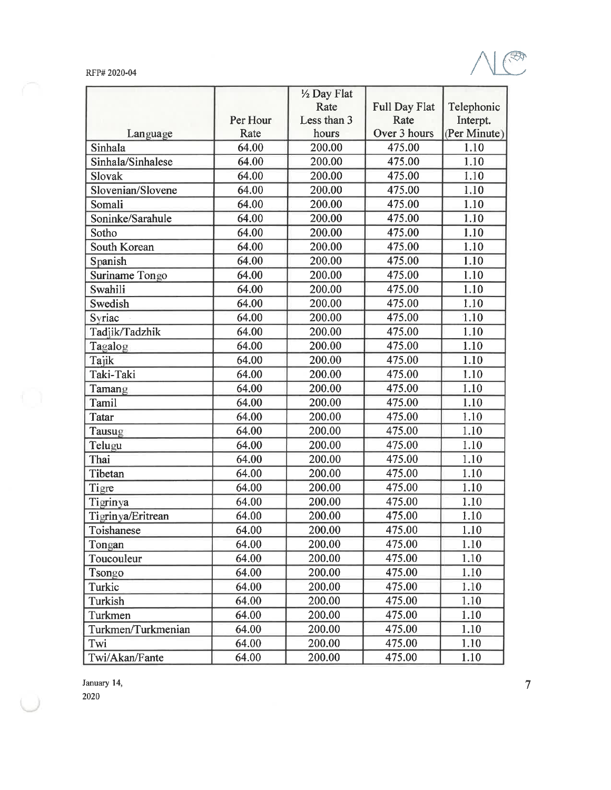

|                    |          | 1/2 Day Flat |               |              |
|--------------------|----------|--------------|---------------|--------------|
|                    |          | Rate         | Full Day Flat | Telephonic   |
|                    | Per Hour | Less than 3  | Rate          | Interpt.     |
| Language           | Rate     | hours        | Over 3 hours  | (Per Minute) |
| Sinhala            | 64.00    | 200.00       | 475.00        | 1.10         |
| Sinhala/Sinhalese  | 64.00    | 200.00       | 475.00        | 1.10         |
| Slovak             | 64.00    | 200.00       | 475.00        | 1.10         |
| Slovenian/Slovene  | 64.00    | 200.00       | 475.00        | 1.10         |
| Somali             | 64.00    | 200.00       | 475.00        | 1.10         |
| Soninke/Sarahule   | 64.00    | 200.00       | 475.00        | 1.10         |
| Sotho              | 64.00    | 200.00       | 475.00        | 1.10         |
| South Korean       | 64.00    | 200.00       | 475.00        | 1.10         |
| Spanish            | 64.00    | 200.00       | 475.00        | 1.10         |
| Suriname Tongo     | 64.00    | 200.00       | 475.00        | 1.10         |
| Swahili            | 64.00    | 200.00       | 475.00        | 1.10         |
| Swedish            | 64.00    | 200.00       | 475.00        | 1.10         |
| Syriac             | 64.00    | 200.00       | 475.00        | 1.10         |
| Tadjik/Tadzhik     | 64.00    | 200.00       | 475.00        | 1.10         |
| Tagalog            | 64.00    | 200.00       | 475.00        | 1.10         |
| Tajik              | 64.00    | 200.00       | 475.00        | 1.10         |
| Taki-Taki          | 64.00    | 200.00       | 475.00        | 1.10         |
| Tamang             | 64.00    | 200.00       | 475.00        | 1.10         |
| Tamil              | 64.00    | 200.00       | 475.00        | 1.10         |
| <b>Tatar</b>       | 64.00    | 200.00       | 475.00        | 1.10         |
| Tausug             | 64.00    | 200.00       | 475.00        | 1.10         |
| Telugu             | 64.00    | 200.00       | 475.00        | 1.10         |
| Thai               | 64.00    | 200.00       | 475.00        | 1.10         |
| Tibetan            | 64.00    | 200.00       | 475.00        | 1.10         |
| Tigre              | 64.00    | 200.00       | 475.00        | 1.10         |
| Tigrinya           | 64.00    | 200.00       | 475.00        | 1.10         |
| Tigrinya/Eritrean  | 64.00    | 200.00       | 475.00        | 1.10         |
| Toishanese         | 64.00    | 200.00       | 475.00        | 1.10         |
| Tongan             | 64.00    | 200.00       | 475.00        | 1.10         |
| Toucouleur         | 64.00    | 200.00       | 475.00        | 1.10         |
| Tsongo             | 64.00    | 200.00       | 475.00        | 1.10         |
| Turkic             | 64.00    | 200.00       | 475.00        | 1.10         |
| Turkish            | 64.00    | 200.00       | 475.00        | 1.10         |
| Turkmen            | 64.00    | 200.00       | 475.00        | 1.10         |
| Turkmen/Turkmenian | 64.00    | 200.00       | 475.00        | 1.10         |
| Twi                | 64.00    | 200.00       | 475.00        | 1.10         |
| Twi/Akan/Fante     | 64.00    | 200.00       | 475.00        | 1.10         |

January 14,

 $2020\,$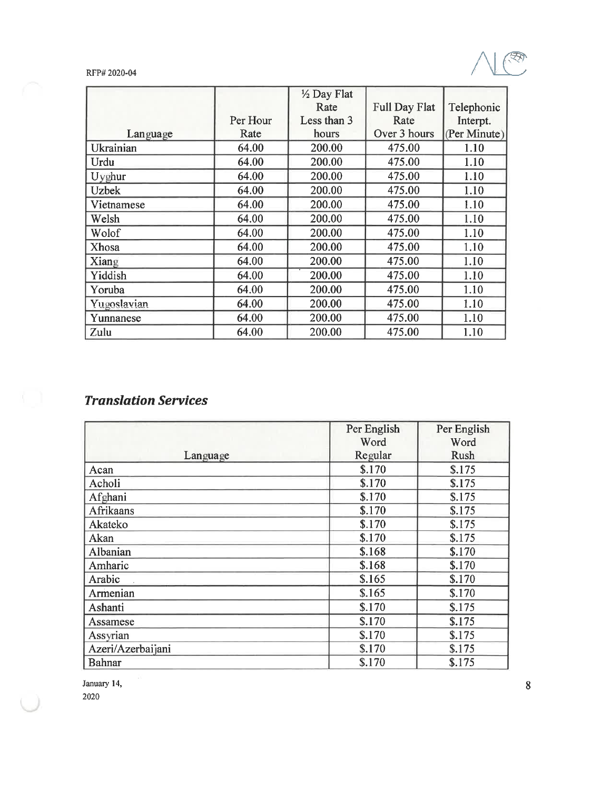QÒ

#### RFP# 2020-04

|              |          | 1/2 Day Flat |                      |              |
|--------------|----------|--------------|----------------------|--------------|
|              |          | Rate         | <b>Full Day Flat</b> | Telephonic   |
|              | Per Hour | Less than 3  | Rate                 | Interpt.     |
| Language     | Rate     | hours        | Over 3 hours         | (Per Minute) |
| Ukrainian    | 64.00    | 200.00       | 475.00               | 1.10         |
| Urdu         | 64.00    | 200.00       | 475.00               | 1.10         |
| Uyghur       | 64.00    | 200.00       | 475.00               | 1.10         |
| <b>Uzbek</b> | 64.00    | 200.00       | 475.00               | 1.10         |
| Vietnamese   | 64.00    | 200.00       | 475.00               | 1.10         |
| Welsh        | 64.00    | 200.00       | 475.00               | 1.10         |
| Wolof        | 64.00    | 200.00       | 475.00               | 1.10         |
| Xhosa        | 64.00    | 200.00       | 475.00               | 1.10         |
| Xiang        | 64.00    | 200.00       | 475.00               | 1.10         |
| Yiddish      | 64.00    | 200.00       | 475.00               | 1.10         |
| Yoruba       | 64.00    | 200.00       | 475.00               | 1.10         |
| Yugoslavian  | 64.00    | 200.00       | 475.00               | 1.10         |
| Yunnanese    | 64.00    | 200.00       | 475.00               | 1.10         |
| Zulu         | 64.00    | 200.00       | 475.00               | 1.10         |

# **Translation Services**

|                   | Per English | Per English |
|-------------------|-------------|-------------|
|                   | Word        | Word        |
| Language          | Regular     | Rush        |
| Acan              | \$.170      | \$.175      |
| Acholi            | \$.170      | \$.175      |
| Afghani           | \$.170      | \$.175      |
| <b>Afrikaans</b>  | \$.170      | \$.175      |
| Akateko           | \$.170      | \$.175      |
| Akan              | \$.170      | \$.175      |
| Albanian          | \$.168      | \$.170      |
| Amharic           | \$.168      | \$.170      |
| Arabic            | \$.165      | \$.170      |
| Armenian          | \$.165      | \$.170      |
| Ashanti           | \$.170      | \$.175      |
| Assamese          | \$.170      | \$.175      |
| Assyrian          | \$.170      | \$.175      |
| Azeri/Azerbaijani | \$.170      | \$.175      |
| Bahnar            | \$.170      | \$.175      |

January 14, 2020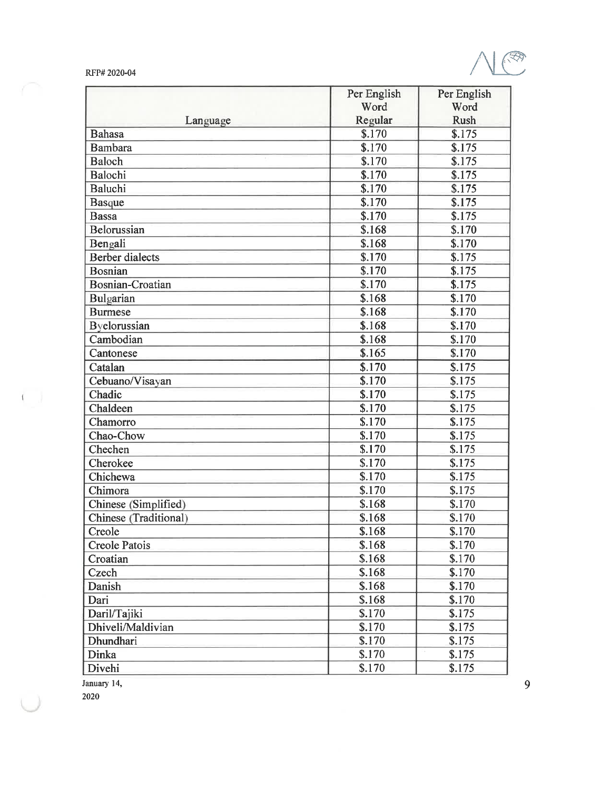

|                              | Per English | Per English |
|------------------------------|-------------|-------------|
|                              | Word        | Word        |
| Language                     | Regular     | <b>Rush</b> |
| <b>Bahasa</b>                | \$.170      | \$.175      |
| <b>Bambara</b>               | \$.170      | \$.175      |
| <b>Baloch</b>                | \$.170      | \$.175      |
| Balochi                      | \$.170      | \$.175      |
| <b>Baluchi</b>               | \$.170      | \$.175      |
| Basque                       | \$.170      | \$.175      |
| <b>Bassa</b>                 | \$.170      | \$.175      |
| Belorussian                  | \$.168      | \$.170      |
| Bengali                      | \$.168      | \$.170      |
| <b>Berber</b> dialects       | \$.170      | \$.175      |
| <b>Bosnian</b>               | \$.170      | \$.175      |
| <b>Bosnian-Croatian</b>      | \$.170      | \$.175      |
| Bulgarian                    | \$.168      | \$.170      |
| <b>Burmese</b>               | \$.168      | \$.170      |
| Byelorussian                 | \$.168      | \$.170      |
| Cambodian                    | \$.168      | \$.170      |
| Cantonese                    | \$.165      | \$.170      |
| Catalan                      | \$.170      | \$.175      |
| Cebuano/Visayan              | \$.170      | \$.175      |
| Chadic                       | \$.170      | \$.175      |
| Chaldeen                     | \$.170      | \$.175      |
| Chamorro                     | \$.170      | \$.175      |
| Chao-Chow                    | \$.170      | \$.175      |
| Chechen                      | \$.170      | \$.175      |
| Cherokee                     | \$.170      | \$.175      |
| Chichewa                     | \$.170      | \$.175      |
| Chimora                      | \$.170      | \$.175      |
| Chinese (Simplified)         | \$.168      | \$.170      |
| <b>Chinese</b> (Traditional) | \$.168      | \$.170      |
| Creole                       | \$.168      | \$.170      |
| <b>Creole Patois</b>         | \$.168      | \$.170      |
| Croatian                     | \$.168      | \$.170      |
| Czech                        | \$.168      | \$.170      |
| Danish                       | \$.168      | \$.170      |
| Dari                         | \$.168      | \$.170      |
| Daril/Tajiki                 | \$.170      | \$.175      |
| Dhiveli/Maldivian            | \$.170      | \$.175      |
| Dhundhari                    | \$.170      | \$.175      |
| Dinka                        | \$.170      | \$.175      |
| Divehi                       | \$.170      | \$.175      |

January 14,

2020

 $\left( \begin{array}{cc} 0 & 0 \\ 0 & 0 \end{array} \right)$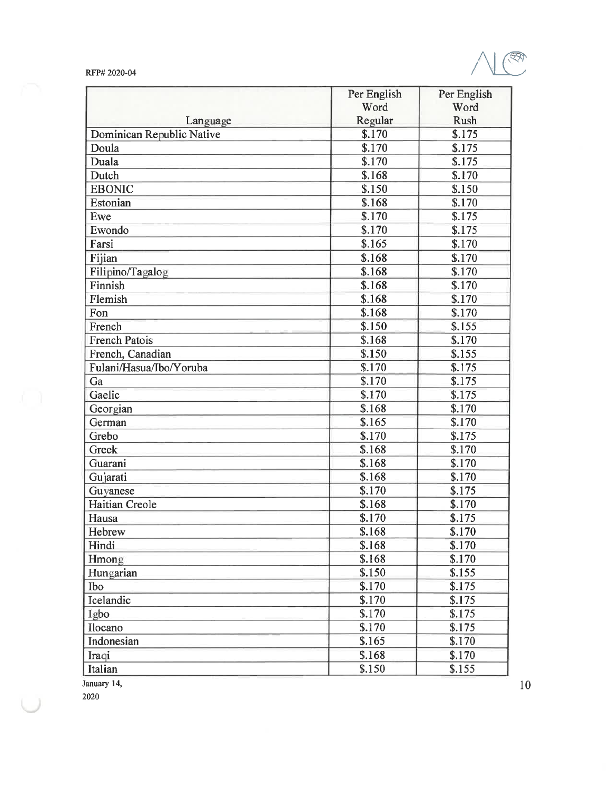

|                           | Per English        | Per English |
|---------------------------|--------------------|-------------|
|                           | Word               | Word        |
| Language                  | Regular            | Rush        |
| Dominican Republic Native | \$.170             | \$.175      |
| Doula                     | \$.170             | \$.175      |
| Duala                     | \$.170             | \$.175      |
| Dutch                     | \$.168             | \$.170      |
| <b>EBONIC</b>             | \$.150             | \$.150      |
| Estonian                  | \$.168             | \$.170      |
| Ewe                       | \$.170             | \$.175      |
| Ewondo                    | $\overline{$.170}$ | \$.175      |
| Farsi                     | \$.165             | \$.170      |
| Fijian                    | \$.168             | \$.170      |
| Filipino/Tagalog          | \$.168             | \$.170      |
| Finnish                   | \$.168             | \$.170      |
| Flemish                   | \$.168             | \$.170      |
| Fon                       | \$.168             | \$.170      |
| French                    | \$.150             | \$.155      |
| <b>French Patois</b>      | \$.168             | \$.170      |
| French, Canadian          | \$.150             | \$.155      |
| Fulani/Hasua/Ibo/Yoruba   | \$.170             | \$.175      |
| Ga                        | \$.170             | \$.175      |
| Gaelic                    | \$.170             | \$.175      |
| Georgian                  | \$.168             | \$.170      |
| German                    | \$.165             | \$.170      |
| Grebo                     | \$.170             | \$.175      |
| Greek                     | \$.168             | \$.170      |
| Guarani                   | \$.168             | \$.170      |
| Gujarati                  | \$.168             | \$.170      |
| Guyanese                  | \$.170             | \$.175      |
| <b>Haitian Creole</b>     | \$.168             | \$.170      |
| Hausa                     | \$.170             | \$.175      |
| Hebrew                    | \$.168             | \$.170      |
| Hindi                     | \$.168             | \$.170      |
| Hmong                     | \$.168             | \$.170      |
| Hungarian                 | \$.150             | \$.155      |
| <b>Ibo</b>                | \$.170             | \$.175      |
| Icelandic                 | \$.170             | \$.175      |
| Igbo                      | \$.170             | \$.175      |
| Ilocano                   | \$.170             | \$.175      |
| Indonesian                | \$.165             | \$.170      |
| Iraqi                     | \$.168             | \$.170      |
| Italian                   | \$.150             | \$.155      |

January 14,

2020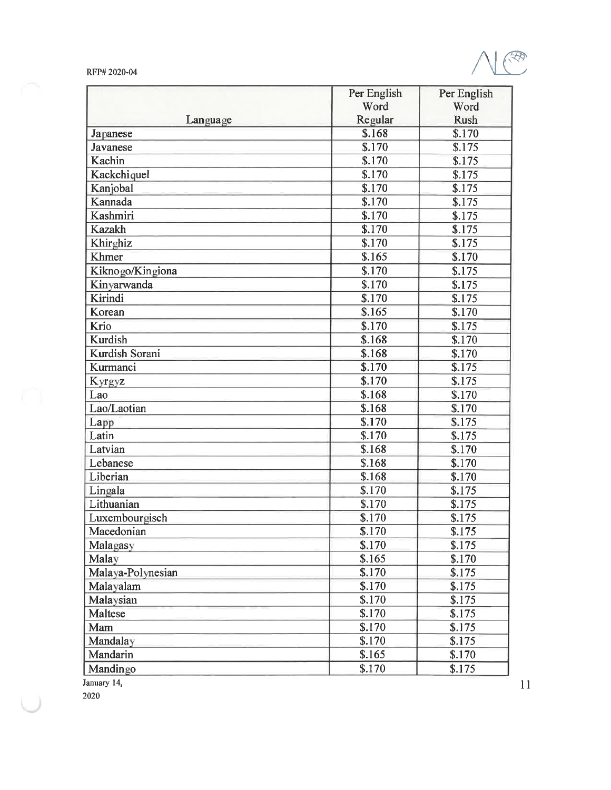

|                   | Per English | Per English<br>Word |
|-------------------|-------------|---------------------|
|                   | Word        |                     |
| Language          | Regular     | <b>Rush</b>         |
| Japanese          | \$.168      | \$.170              |
| Javanese          | S.170       | \$.175              |
| Kachin            | \$.170      | \$.175              |
| Kackchiquel       | \$.170      | \$.175              |
| Kanjobal          | \$.170      | \$.175              |
| Kannada           | \$.170      | \$.175              |
| Kashmiri          | \$.170      | \$.175              |
| <b>Kazakh</b>     | \$.170      | \$.175              |
| Khirghiz          | \$.170      | \$.175              |
| Khmer             | \$.165      | \$.170              |
| Kiknogo/Kingiona  | \$.170      | \$.175              |
| Kinyarwanda       | \$.170      | \$.175              |
| Kirindi           | \$.170      | \$.175              |
| Korean            | \$.165      | \$.170              |
| Krio              | \$.170      | \$.175              |
| Kurdish           | \$.168      | \$.170              |
| Kurdish Sorani    | \$.168      | \$.170              |
| Kurmanci          | \$.170      | \$.175              |
| Kyrgyz            | \$.170      | \$.175              |
| Lao               | \$.168      | \$.170              |
| Lao/Laotian       | \$.168      | \$.170              |
| Lapp              | \$.170      | \$.175              |
| Latin             | \$.170      | \$.175              |
| Latvian           | \$.168      | \$.170              |
| Lebanese          | \$.168      | \$.170              |
| Liberian          | \$.168      | \$.170              |
| Lingala           | \$.170      | \$.175              |
| Lithuanian        | \$.170      | \$.175              |
| Luxembourgisch    | \$.170      | \$.175              |
| Macedonian        | \$.170      | \$.175              |
| Malagasy          | \$.170      | \$.175              |
| Malay             | \$.165      | \$.170              |
| Malaya-Polynesian | \$.170      | \$.175              |
| Malayalam         | \$.170      | \$.175              |
| Malaysian         | \$.170      | \$.175              |
| <b>Maltese</b>    | \$.170      | \$.175              |
| Mam               | \$.170      | \$.175              |
| Mandalay          | \$.170      | \$.175              |
| Mandarin          | \$.165      | \$.170              |
| Mandingo          | \$.170      | \$.175              |

January 14,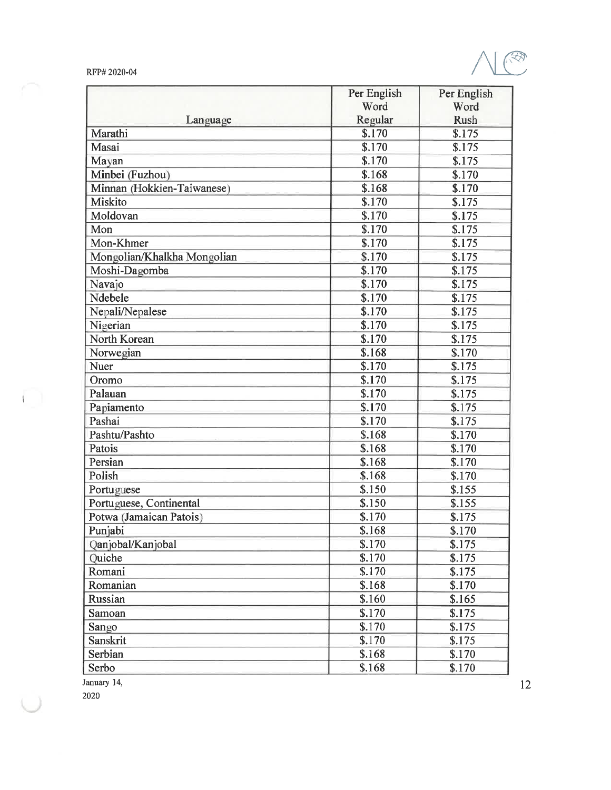

| Language                    | Per English | Per English<br>Word |
|-----------------------------|-------------|---------------------|
|                             | Word        |                     |
|                             | Regular     | <b>Rush</b>         |
| Marathi                     | \$.170      | \$.175              |
| Masai                       | \$.170      | \$.175              |
| Mayan                       | \$.170      | \$.175              |
| Minbei (Fuzhou)             | \$.168      | \$.170              |
| Minnan (Hokkien-Taiwanese)  | \$.168      | \$.170              |
| Miskito                     | \$.170      | \$.175              |
| Moldovan                    | \$.170      | \$.175              |
| Mon                         | \$.170      | \$.175              |
| Mon-Khmer                   | \$.170      | \$.175              |
| Mongolian/Khalkha Mongolian | \$.170      | \$.175              |
| Moshi-Dagomba               | \$.170      | \$.175              |
| Navajo                      | \$.170      | \$.175              |
| Ndebele                     | \$.170      | \$.175              |
| Nepali/Nepalese             | \$.170      | \$.175              |
| Nigerian                    | \$.170      | \$.175              |
| North Korean                | \$.170      | \$.175              |
| Norwegian                   | \$.168      | \$.170              |
| Nuer                        | \$.170      | \$.175              |
| Oromo                       | \$.170      | \$.175              |
| Palauan                     | \$.170      | \$.175              |
| Papiamento                  | \$.170      | \$.175              |
| Pashai                      | \$.170      | \$.175              |
| Pashtu/Pashto               | \$.168      | \$.170              |
| Patois                      | \$.168      | \$.170              |
| Persian                     | \$.168      | \$.170              |
| Polish                      | \$.168      | \$.170              |
| Portuguese                  | \$.150      | \$.155              |
| Portuguese, Continental     | \$.150      | \$.155              |
| Potwa (Jamaican Patois)     | \$.170      | \$.175              |
| Punjabi                     | \$.168      | \$.170              |
| Qanjobal/Kanjobal           | \$.170      | \$.175              |
| Quiche                      | \$.170      | \$.175              |
| Romani                      | \$.170      | \$.175              |
| Romanian                    | \$.168      | \$.170              |
| Russian                     | \$.160      | \$.165              |
| Samoan                      | \$.170      | \$.175              |
| Sango                       | \$.170      | \$.175              |
| Sanskrit                    | \$.170      | \$.175              |
| Serbian                     | \$.168      | \$.170              |
| Serbo                       | \$.168      | \$.170              |
|                             |             |                     |

January 14,

2020

 $\overline{\mathbb{C}}$  .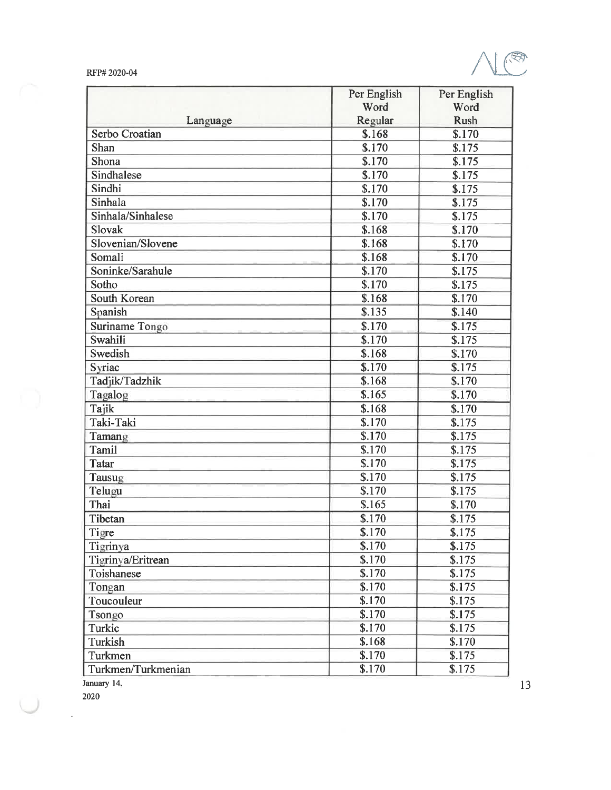|  | RFP# 2020-04 |
|--|--------------|
|--|--------------|



|                    | Per English         | Per English        |
|--------------------|---------------------|--------------------|
|                    | Word                | Word               |
| Language           | Regular             | <b>Rush</b>        |
| Serbo Croatian     | \$.168              | \$.170             |
| Shan               | \$.170              | \$.175             |
| Shona              | \$.170              | \$.175             |
| Sindhalese         | $\overline{$}3.170$ | \$.175             |
| Sindhi             | \$.170              | \$.175             |
| Sinhala            | \$.170              | \$.175             |
| Sinhala/Sinhalese  | \$.170              | \$.175             |
| Slovak             | \$.168              | $\overline{$.170}$ |
| Slovenian/Slovene  | \$.168              | \$.170             |
| Somali             | \$.168              | \$.170             |
| Soninke/Sarahule   | $\overline{$.170}$  | \$.175             |
| Sotho              | $\overline{$}3.170$ | \$.175             |
| South Korean       | \$.168              | \$.170             |
| Spanish            | \$.135              | \$.140             |
| Suriname Tongo     | \$.170              | \$.175             |
| Swahili            | \$.170              | \$.175             |
| Swedish            | \$.168              | \$.170             |
| Syriac             | \$.170              | \$.175             |
| Tadjik/Tadzhik     | \$.168              | \$.170             |
| Tagalog            | \$.165              | \$.170             |
| Tajik              | \$.168              | \$.170             |
| Taki-Taki          | \$.170              | \$.175             |
| Tamang             | \$.170              | \$.175             |
| Tamil              | \$.170              | \$.175             |
| Tatar              | \$.170              | \$.175             |
| Tausug             | \$.170              | \$.175             |
| Telugu             | \$.170              | \$.175             |
| Thai               | \$.165              | \$.170             |
| Tibetan            | \$.170              | \$.175             |
| Tigre              | \$.170              | \$.175             |
| Tigrinya           | \$.170              | \$.175             |
| Tigrinya/Eritrean  | \$.170              | \$.175             |
| Toishanese         | \$.170              | \$.175             |
| Tongan             | \$.170              | \$.175             |
| Toucouleur         | \$.170              | \$.175             |
| Tsongo             | \$.170              | \$.175             |
| Turkic             | \$.170              | \$.175             |
| Turkish            | \$.168              | \$.170             |
| Turkmen            | \$.170              | \$.175             |
| Turkmen/Turkmenian | \$.170              | \$.175             |

January 14,

2020

l,